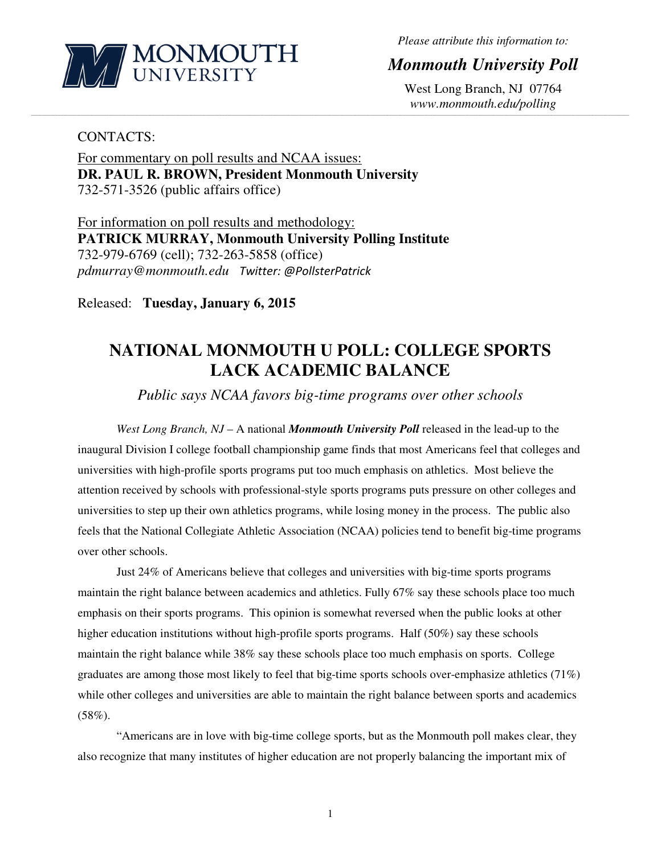

*Please attribute this information to:* 

## *Monmouth University Poll*

West Long Branch, NJ 07764 *www.monmouth.edu/polling* 

### CONTACTS:

For commentary on poll results and NCAA issues: **DR. PAUL R. BROWN, President Monmouth University**  732-571-3526 (public affairs office)

For information on poll results and methodology: **PATRICK MURRAY, Monmouth University Polling Institute**  732-979-6769 (cell); 732-263-5858 (office) *pdmurray@monmouth.edu* Twitter: @PollsterPatrick

Released: **Tuesday, January 6, 2015** 

# **NATIONAL MONMOUTH U POLL: COLLEGE SPORTS LACK ACADEMIC BALANCE**

**\_\_\_\_\_\_\_\_\_\_\_\_\_\_\_\_\_\_\_\_\_\_\_\_\_\_\_\_\_\_\_\_\_\_\_\_\_\_\_\_\_\_\_\_\_\_\_\_\_\_\_\_\_\_\_\_\_\_\_\_\_\_\_\_\_\_\_\_\_\_\_\_\_\_\_\_\_\_\_\_\_\_\_\_\_\_\_\_\_\_\_\_\_\_\_\_\_\_\_\_\_\_\_\_\_\_\_\_\_\_\_\_\_\_\_\_\_\_\_\_\_\_\_\_\_\_\_\_\_\_\_\_\_\_\_\_\_\_\_\_\_\_\_\_\_\_\_\_\_\_\_\_\_\_\_\_\_\_\_\_\_\_\_\_\_\_\_\_\_\_\_\_\_\_\_\_\_\_\_\_\_\_\_\_\_\_\_\_\_\_\_\_\_\_\_\_\_\_\_\_\_\_\_\_\_\_\_\_\_\_\_\_\_\_\_\_\_\_\_\_\_\_\_\_\_\_\_\_\_\_\_\_\_\_\_\_\_\_\_\_\_\_\_\_\_\_\_\_\_\_\_\_\_\_\_\_\_\_\_\_\_\_\_\_\_\_\_\_\_\_\_\_\_\_\_\_\_** 

*Public says NCAA favors big-time programs over other schools* 

*West Long Branch, NJ* – A national *Monmouth University Poll* released in the lead-up to the inaugural Division I college football championship game finds that most Americans feel that colleges and universities with high-profile sports programs put too much emphasis on athletics. Most believe the attention received by schools with professional-style sports programs puts pressure on other colleges and universities to step up their own athletics programs, while losing money in the process. The public also feels that the National Collegiate Athletic Association (NCAA) policies tend to benefit big-time programs over other schools.

 Just 24% of Americans believe that colleges and universities with big-time sports programs maintain the right balance between academics and athletics. Fully 67% say these schools place too much emphasis on their sports programs. This opinion is somewhat reversed when the public looks at other higher education institutions without high-profile sports programs. Half (50%) say these schools maintain the right balance while 38% say these schools place too much emphasis on sports. College graduates are among those most likely to feel that big-time sports schools over-emphasize athletics  $(71\%)$ while other colleges and universities are able to maintain the right balance between sports and academics  $(58\%).$ 

 "Americans are in love with big-time college sports, but as the Monmouth poll makes clear, they also recognize that many institutes of higher education are not properly balancing the important mix of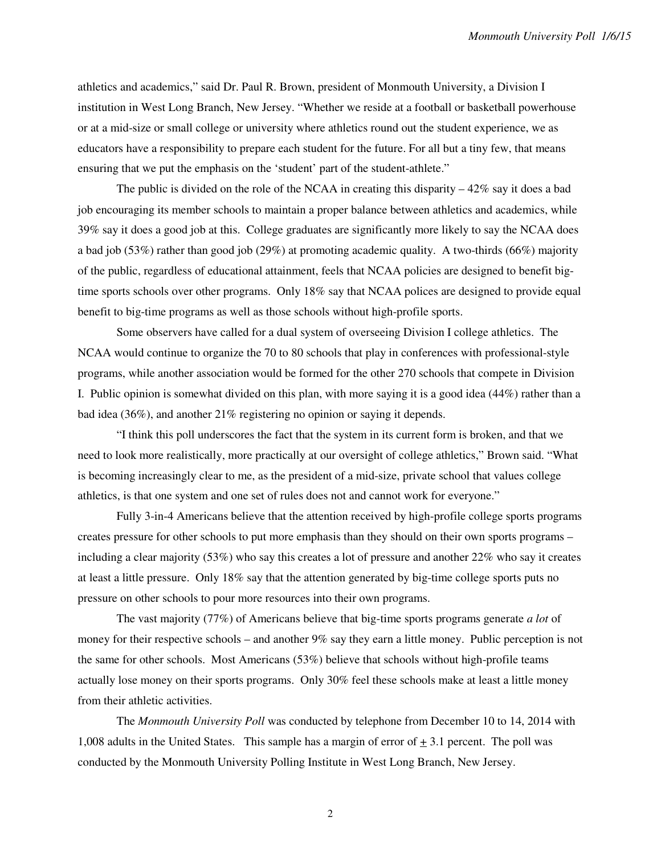athletics and academics," said Dr. Paul R. Brown, president of Monmouth University, a Division I institution in West Long Branch, New Jersey. "Whether we reside at a football or basketball powerhouse or at a mid-size or small college or university where athletics round out the student experience, we as educators have a responsibility to prepare each student for the future. For all but a tiny few, that means ensuring that we put the emphasis on the 'student' part of the student-athlete."

 The public is divided on the role of the NCAA in creating this disparity – 42% say it does a bad job encouraging its member schools to maintain a proper balance between athletics and academics, while 39% say it does a good job at this. College graduates are significantly more likely to say the NCAA does a bad job (53%) rather than good job (29%) at promoting academic quality. A two-thirds (66%) majority of the public, regardless of educational attainment, feels that NCAA policies are designed to benefit bigtime sports schools over other programs. Only 18% say that NCAA polices are designed to provide equal benefit to big-time programs as well as those schools without high-profile sports.

 Some observers have called for a dual system of overseeing Division I college athletics. The NCAA would continue to organize the 70 to 80 schools that play in conferences with professional-style programs, while another association would be formed for the other 270 schools that compete in Division I. Public opinion is somewhat divided on this plan, with more saying it is a good idea (44%) rather than a bad idea (36%), and another 21% registering no opinion or saying it depends.

 "I think this poll underscores the fact that the system in its current form is broken, and that we need to look more realistically, more practically at our oversight of college athletics," Brown said. "What is becoming increasingly clear to me, as the president of a mid-size, private school that values college athletics, is that one system and one set of rules does not and cannot work for everyone."

 Fully 3-in-4 Americans believe that the attention received by high-profile college sports programs creates pressure for other schools to put more emphasis than they should on their own sports programs – including a clear majority (53%) who say this creates a lot of pressure and another 22% who say it creates at least a little pressure. Only 18% say that the attention generated by big-time college sports puts no pressure on other schools to pour more resources into their own programs.

 The vast majority (77%) of Americans believe that big-time sports programs generate *a lot* of money for their respective schools – and another 9% say they earn a little money. Public perception is not the same for other schools. Most Americans (53%) believe that schools without high-profile teams actually lose money on their sports programs. Only 30% feel these schools make at least a little money from their athletic activities.

The *Monmouth University Poll* was conducted by telephone from December 10 to 14, 2014 with 1,008 adults in the United States. This sample has a margin of error of  $\pm$  3.1 percent. The poll was conducted by the Monmouth University Polling Institute in West Long Branch, New Jersey.

2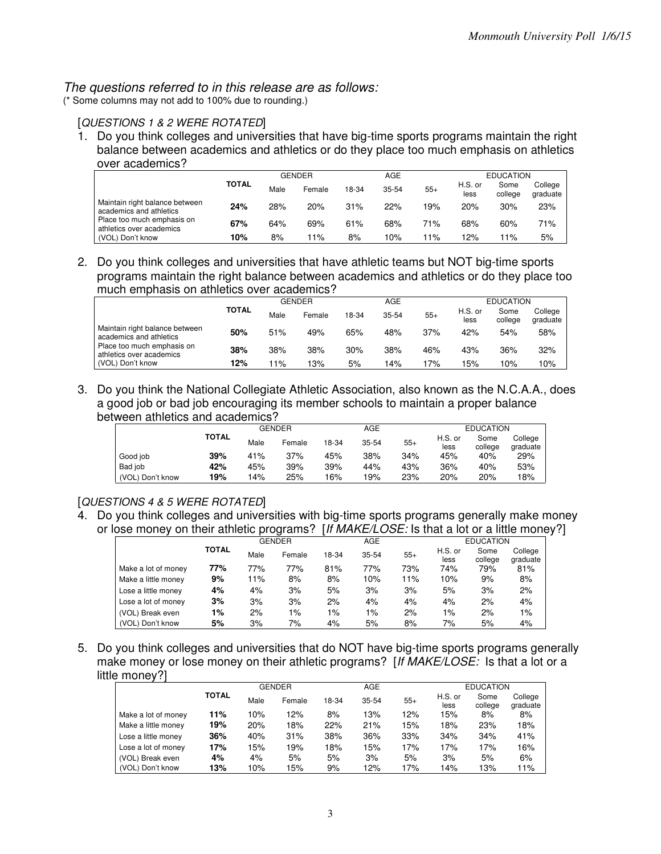#### The questions referred to in this release are as follows:

(\* Some columns may not add to 100% due to rounding.)

#### [QUESTIONS 1 & 2 WERE ROTATED]

1. Do you think colleges and universities that have big-time sports programs maintain the right balance between academics and athletics or do they place too much emphasis on athletics over academics?

|                                                           |       |      | <b>GENDER</b> |       | AGE   |       |                 | <b>EDUCATION</b> |                     |
|-----------------------------------------------------------|-------|------|---------------|-------|-------|-------|-----------------|------------------|---------------------|
|                                                           | TOTAL | Male | Female        | 18-34 | 35-54 | $55+$ | H.S. or<br>less | Some<br>college  | College<br>graduate |
| Maintain right balance between<br>academics and athletics | 24%   | 28%  | 20%           | 31%   | 22%   | 19%   | 20%             | 30%              | 23%                 |
| Place too much emphasis on<br>athletics over academics    | 67%   | 64%  | 69%           | 61%   | 68%   | 71%   | 68%             | 60%              | 71%                 |
| (VOL) Don't know                                          | 10%   | 8%   | '1%           | 8%    | 10%   | $1\%$ | 12%             | ' 1%             | 5%                  |

2. Do you think colleges and universities that have athletic teams but NOT big-time sports programs maintain the right balance between academics and athletics or do they place too much emphasis on athletics over academics?

|                                                           |       |      | <b>GENDER</b> |       | <b>AGE</b> |       |                 | <b>EDUCATION</b> |                     |  |
|-----------------------------------------------------------|-------|------|---------------|-------|------------|-------|-----------------|------------------|---------------------|--|
|                                                           | TOTAL | Male | Female        | 18-34 | $35 - 54$  | $55+$ | H.S. or<br>less | Some<br>college  | College<br>graduate |  |
| Maintain right balance between<br>academics and athletics | 50%   | 51%  | 49%           | 65%   | 48%        | 37%   | 42%             | 54%              | 58%                 |  |
| Place too much emphasis on<br>athletics over academics    | 38%   | 38%  | 38%           | 30%   | 38%        | 46%   | 43%             | 36%              | 32%                 |  |
| (VOL) Don't know                                          | 12%   | 11%  | 13%           | 5%    | 14%        | 7%    | 15%             | 10%              | 10%                 |  |

3. Do you think the National Collegiate Athletic Association, also known as the N.C.A.A., does a good job or bad job encouraging its member schools to maintain a proper balance between athletics and academics?

|                  |              |      | GENDER |       | AGE       |       | <b>EDUCATION</b> |                 |                     |  |
|------------------|--------------|------|--------|-------|-----------|-------|------------------|-----------------|---------------------|--|
|                  | <b>TOTAL</b> | Male | Female | 18-34 | $35 - 54$ | $55+$ | H.S. or<br>less  | Some<br>college | College<br>graduate |  |
| Good job         | 39%          | 41%  | 37%    | 45%   | 38%       | 34%   | 45%              | 40%             | 29%                 |  |
| Bad job          | 42%          | 45%  | 39%    | 39%   | 44%       | 43%   | 36%              | 40%             | 53%                 |  |
| (VOL) Don't know | 19%          | 14%  | 25%    | 16%   | 19%       | 23%   | 20%              | 20%             | 18%                 |  |

#### [QUESTIONS 4 & 5 WERE ROTATED]

4. Do you think colleges and universities with big-time sports programs generally make money or lose money on their athletic programs? [If MAKE/LOSE: Is that a lot or a little money?]

|                     |              |      | <b>GENDER</b> |       | <b>AGE</b> |       |                 | <b>EDUCATION</b> |                     |
|---------------------|--------------|------|---------------|-------|------------|-------|-----------------|------------------|---------------------|
|                     | <b>TOTAL</b> | Male | Female        | 18-34 | $35 - 54$  | $55+$ | H.S. or<br>less | Some<br>college  | College<br>graduate |
| Make a lot of money | 77%          | 77%  | 77%           | 81%   | 77%        | 73%   | 74%             | 79%              | 81%                 |
| Make a little money | 9%           | 11%  | 8%            | 8%    | 10%        | 11%   | 10%             | 9%               | 8%                  |
| Lose a little money | 4%           | 4%   | 3%            | 5%    | 3%         | 3%    | 5%              | 3%               | 2%                  |
| Lose a lot of money | 3%           | 3%   | 3%            | 2%    | 4%         | 4%    | 4%              | 2%               | 4%                  |
| (VOL) Break even    | 1%           | 2%   | 1%            | 1%    | 1%         | 2%    | $1\%$           | 2%               | $1\%$               |
| (VOL) Don't know    | 5%           | 3%   | 7%            | 4%    | 5%         | 8%    | 7%              | 5%               | 4%                  |

5. Do you think colleges and universities that do NOT have big-time sports programs generally make money or lose money on their athletic programs? [If MAKE/LOSE: Is that a lot or a little money?]

|                     |              |      | <b>GENDER</b> |       | AGE       |       |                 | <b>EDUCATION</b> |                     |
|---------------------|--------------|------|---------------|-------|-----------|-------|-----------------|------------------|---------------------|
|                     | <b>TOTAL</b> | Male | Female        | 18-34 | $35 - 54$ | $55+$ | H.S. or<br>less | Some<br>college  | College<br>graduate |
| Make a lot of money | 11%          | 10%  | 12%           | 8%    | 13%       | 12%   | 15%             | 8%               | 8%                  |
| Make a little money | 19%          | 20%  | 18%           | 22%   | 21%       | 15%   | 18%             | 23%              | 18%                 |
| Lose a little money | 36%          | 40%  | 31%           | 38%   | 36%       | 33%   | 34%             | 34%              | 41%                 |
| Lose a lot of money | 17%          | 15%  | 19%           | 18%   | 15%       | 17%   | 17%             | 17%              | 16%                 |
| (VOL) Break even    | 4%           | 4%   | 5%            | 5%    | 3%        | 5%    | 3%              | 5%               | 6%                  |
| (VOL) Don't know    | 13%          | 10%  | 15%           | 9%    | 12%       | 17%   | 14%             | 13%              | 11%                 |